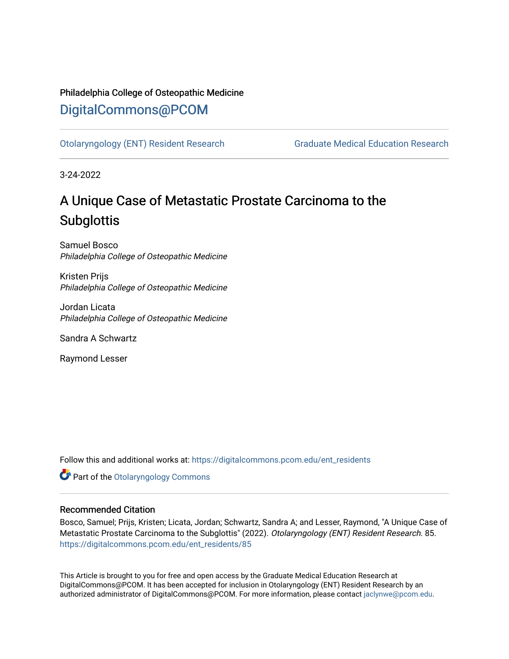## Philadelphia College of Osteopathic Medicine [DigitalCommons@PCOM](https://digitalcommons.pcom.edu/)

[Otolaryngology \(ENT\) Resident Research](https://digitalcommons.pcom.edu/ent_residents) [Graduate Medical Education Research](https://digitalcommons.pcom.edu/graduate_medical_education_research) 

3-24-2022

# A Unique Case of Metastatic Prostate Carcinoma to the **Subglottis**

Samuel Bosco Philadelphia College of Osteopathic Medicine

Kristen Prijs Philadelphia College of Osteopathic Medicine

Jordan Licata Philadelphia College of Osteopathic Medicine

Sandra A Schwartz

Raymond Lesser

Follow this and additional works at: [https://digitalcommons.pcom.edu/ent\\_residents](https://digitalcommons.pcom.edu/ent_residents?utm_source=digitalcommons.pcom.edu%2Fent_residents%2F85&utm_medium=PDF&utm_campaign=PDFCoverPages)

**Part of the Otolaryngology Commons** 

### Recommended Citation

Bosco, Samuel; Prijs, Kristen; Licata, Jordan; Schwartz, Sandra A; and Lesser, Raymond, "A Unique Case of Metastatic Prostate Carcinoma to the Subglottis" (2022). Otolaryngology (ENT) Resident Research. 85. [https://digitalcommons.pcom.edu/ent\\_residents/85](https://digitalcommons.pcom.edu/ent_residents/85?utm_source=digitalcommons.pcom.edu%2Fent_residents%2F85&utm_medium=PDF&utm_campaign=PDFCoverPages) 

This Article is brought to you for free and open access by the Graduate Medical Education Research at DigitalCommons@PCOM. It has been accepted for inclusion in Otolaryngology (ENT) Resident Research by an authorized administrator of DigitalCommons@PCOM. For more information, please contact [jaclynwe@pcom.edu](mailto:jaclynwe@pcom.edu).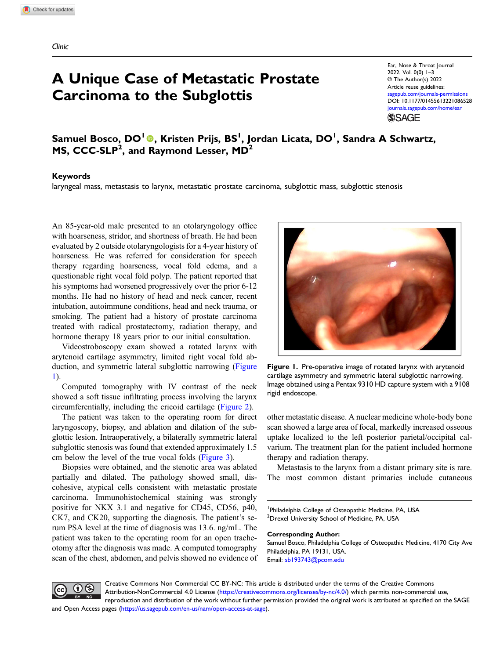## A Unique Case of Metastatic Prostate Carcinoma to the Subglottis

Ear, Nose & Throat Journal 2022, Vol. 0(0) 1–3 © The Author(s) 2022 Article reuse guidelines: agepub.com/journals-permissions DOI: [10.1177/01455613221086528](https://doi.org/10.1177/01455613221086528) [journals.sagepub.com/home/ear](https://journals.sagepub.com/home/ear) **SSAGE** 

Samuel Bosco, DO<sup>I</sup> ©, Kristen Prijs, BS<sup>I</sup>, Jordan Licata, DO<sup>I</sup>, Sandra A Schwartz, MS, CCC-SLP<sup>2</sup>, and Raymond Lesser, MD<sup>2</sup>

#### Keywords

laryngeal mass, metastasis to larynx, metastatic prostate carcinoma, subglottic mass, subglottic stenosis

An 85-year-old male presented to an otolaryngology office with hoarseness, stridor, and shortness of breath. He had been evaluated by 2 outside otolaryngologists for a 4-year history of hoarseness. He was referred for consideration for speech therapy regarding hoarseness, vocal fold edema, and a questionable right vocal fold polyp. The patient reported that his symptoms had worsened progressively over the prior 6-12 months. He had no history of head and neck cancer, recent intubation, autoimmune conditions, head and neck trauma, or smoking. The patient had a history of prostate carcinoma treated with radical prostatectomy, radiation therapy, and hormone therapy 18 years prior to our initial consultation.

Videostroboscopy exam showed a rotated larynx with arytenoid cartilage asymmetry, limited right vocal fold abduction, and symmetric lateral subglottic narrowing ([Figure](#page-1-0) [1\)](#page-1-0).

Computed tomography with IV contrast of the neck showed a soft tissue infiltrating process involving the larynx circumferentially, including the cricoid cartilage ([Figure 2\)](#page-2-0).

The patient was taken to the operating room for direct laryngoscopy, biopsy, and ablation and dilation of the subglottic lesion. Intraoperatively, a bilaterally symmetric lateral subglottic stenosis was found that extended approximately 1.5 cm below the level of the true vocal folds [\(Figure 3](#page-2-1)).

Biopsies were obtained, and the stenotic area was ablated partially and dilated. The pathology showed small, discohesive, atypical cells consistent with metastatic prostate carcinoma. Immunohistochemical staining was strongly positive for NKX 3.1 and negative for CD45, CD56, p40, CK7, and CK20, supporting the diagnosis. The patient's serum PSA level at the time of diagnosis was 13.6. ng/mL. The patient was taken to the operating room for an open tracheotomy after the diagnosis was made. A computed tomography scan of the chest, abdomen, and pelvis showed no evidence of



Figure 1. Pre-operative image of rotated larynx with arytenoid cartilage asymmetry and symmetric lateral subglottic narrowing. Image obtained using a Pentax 9310 HD capture system with a 9108 rigid endoscope.

<span id="page-1-0"></span>other metastatic disease. A nuclear medicine whole-body bone scan showed a large area of focal, markedly increased osseous uptake localized to the left posterior parietal/occipital calvarium. The treatment plan for the patient included hormone therapy and radiation therapy.

Metastasis to the larynx from a distant primary site is rare. The most common distant primaries include cutaneous

<sup>1</sup>Philadelphia College of Osteopathic Medicine, PA, USA <sup>2</sup>Drexel University School of Medicine, PA, USA

#### Corresponding Author:

Samuel Bosco, Philadelphia College of Osteopathic Medicine, 4170 City Ave Philadelphia, PA 19131, USA. Email: [sb193743@pcom.edu](mailto:sb193743@pcom.edu)



Creative Commons Non Commercial CC BY-NC: This article is distributed under the terms of the Creative Commons Attribution-NonCommercial 4.0 License ([https://creativecommons.org/licenses/by-nc/4.0/\)](https://creativecommons.org/licenses/by-nc/4.0/) which permits non-commercial use, reproduction and distribution of the work without further permission provided the original work is attributed as specified on the SAGE

and Open Access pages (<https://us.sagepub.com/en-us/nam/open-access-at-sage>).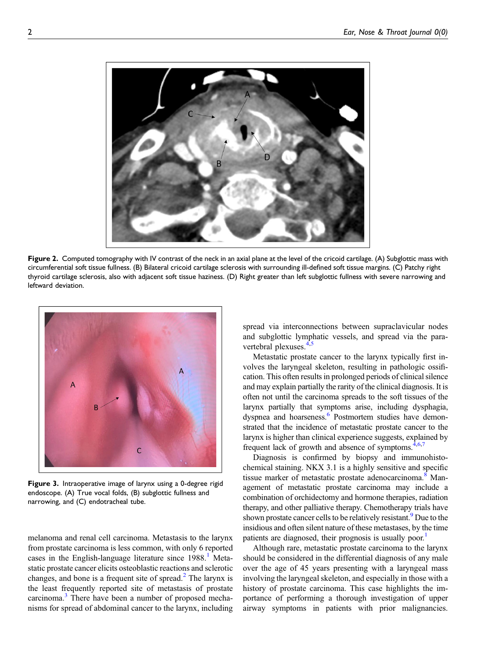

<span id="page-2-0"></span>Figure 2. Computed tomography with IV contrast of the neck in an axial plane at the level of the cricoid cartilage. (A) Subglottic mass with circumferential soft tissue fullness. (B) Bilateral cricoid cartilage sclerosis with surrounding ill-defined soft tissue margins. (C) Patchy right thyroid cartilage sclerosis, also with adjacent soft tissue haziness. (D) Right greater than left subglottic fullness with severe narrowing and leftward deviation.



Figure 3. Intraoperative image of larynx using a 0-degree rigid endoscope. (A) True vocal folds, (B) subglottic fullness and narrowing, and (C) endotracheal tube.

<span id="page-2-1"></span>melanoma and renal cell carcinoma. Metastasis to the larynx from prostate carcinoma is less common, with only 6 reported cases in the English-language literature since  $1988<sup>1</sup>$  $1988<sup>1</sup>$  Metastatic prostate cancer elicits osteoblastic reactions and sclerotic changes, and bone is a frequent site of spread. $<sup>2</sup>$  $<sup>2</sup>$  $<sup>2</sup>$  The larynx is</sup> the least frequently reported site of metastasis of prostate carcinoma.<sup>[3](#page-3-2)</sup> There have been a number of proposed mechanisms for spread of abdominal cancer to the larynx, including spread via interconnections between supraclavicular nodes and subglottic lymphatic vessels, and spread via the para-vertebral plexuses.<sup>[4](#page-3-3)[,5](#page-3-4)</sup>

Metastatic prostate cancer to the larynx typically first involves the laryngeal skeleton, resulting in pathologic ossification. This often results in prolonged periods of clinical silence and may explain partially the rarity of the clinical diagnosis. It is often not until the carcinoma spreads to the soft tissues of the larynx partially that symptoms arise, including dysphagia, dyspnea and hoarseness.<sup>6</sup> Postmortem studies have demonstrated that the incidence of metastatic prostate cancer to the larynx is higher than clinical experience suggests, explained by frequent lack of growth and absence of symptoms. $4,6,7$  $4,6,7$  $4,6,7$ 

Diagnosis is confirmed by biopsy and immunohistochemical staining. NKX 3.1 is a highly sensitive and specific tissue marker of metastatic prostate adenocarcinoma.<sup>[8](#page-3-7)</sup> Management of metastatic prostate carcinoma may include a combination of orchidectomy and hormone therapies, radiation therapy, and other palliative therapy. Chemotherapy trials have shown prostate cancer cells to be relatively resistant.<sup>9</sup> Due to the insidious and often silent nature of these metastases, by the time patients are diagnosed, their prognosis is usually poor.<sup>1</sup>

Although rare, metastatic prostate carcinoma to the larynx should be considered in the differential diagnosis of any male over the age of 45 years presenting with a laryngeal mass involving the laryngeal skeleton, and especially in those with a history of prostate carcinoma. This case highlights the importance of performing a thorough investigation of upper airway symptoms in patients with prior malignancies.